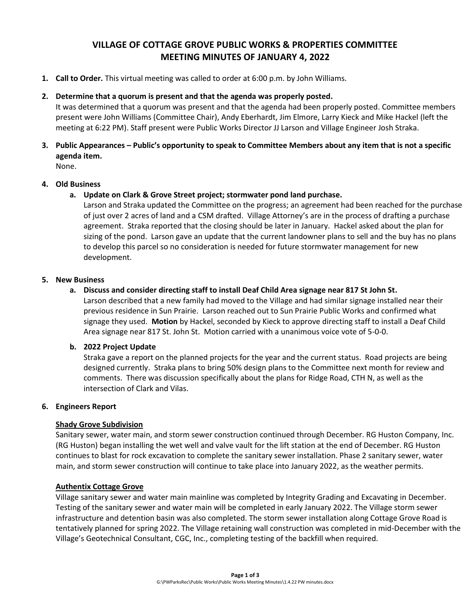# **VILLAGE OF COTTAGE GROVE PUBLIC WORKS & PROPERTIES COMMITTEE MEETING MINUTES OF JANUARY 4, 2022**

**1. Call to Order.** This virtual meeting was called to order at 6:00 p.m. by John Williams.

# **2. Determine that a quorum is present and that the agenda was properly posted.**

It was determined that a quorum was present and that the agenda had been properly posted. Committee members present were John Williams (Committee Chair), Andy Eberhardt, Jim Elmore, Larry Kieck and Mike Hackel (left the meeting at 6:22 PM). Staff present were Public Works Director JJ Larson and Village Engineer Josh Straka.

# **3. Public Appearances – Public's opportunity to speak to Committee Members about any item that is not a specific agenda item.**

None.

# **4. Old Business**

**a. Update on Clark & Grove Street project; stormwater pond land purchase.**

Larson and Straka updated the Committee on the progress; an agreement had been reached for the purchase of just over 2 acres of land and a CSM drafted. Village Attorney's are in the process of drafting a purchase agreement. Straka reported that the closing should be later in January. Hackel asked about the plan for sizing of the pond. Larson gave an update that the current landowner plans to sell and the buy has no plans to develop this parcel so no consideration is needed for future stormwater management for new development.

# **5. New Business**

# **a. Discuss and consider directing staff to install Deaf Child Area signage near 817 St John St.**

Larson described that a new family had moved to the Village and had similar signage installed near their previous residence in Sun Prairie. Larson reached out to Sun Prairie Public Works and confirmed what signage they used. **Motion** by Hackel, seconded by Kieck to approve directing staff to install a Deaf Child Area signage near 817 St. John St. Motion carried with a unanimous voice vote of 5-0-0.

# **b. 2022 Project Update**

Straka gave a report on the planned projects for the year and the current status. Road projects are being designed currently. Straka plans to bring 50% design plans to the Committee next month for review and comments. There was discussion specifically about the plans for Ridge Road, CTH N, as well as the intersection of Clark and Vilas.

# **6. Engineers Report**

# **Shady Grove Subdivision**

Sanitary sewer, water main, and storm sewer construction continued through December. RG Huston Company, Inc. (RG Huston) began installing the wet well and valve vault for the lift station at the end of December. RG Huston continues to blast for rock excavation to complete the sanitary sewer installation. Phase 2 sanitary sewer, water main, and storm sewer construction will continue to take place into January 2022, as the weather permits.

# **Authentix Cottage Grove**

Village sanitary sewer and water main mainline was completed by Integrity Grading and Excavating in December. Testing of the sanitary sewer and water main will be completed in early January 2022. The Village storm sewer infrastructure and detention basin was also completed. The storm sewer installation along Cottage Grove Road is tentatively planned for spring 2022. The Village retaining wall construction was completed in mid-December with the Village's Geotechnical Consultant, CGC, Inc., completing testing of the backfill when required.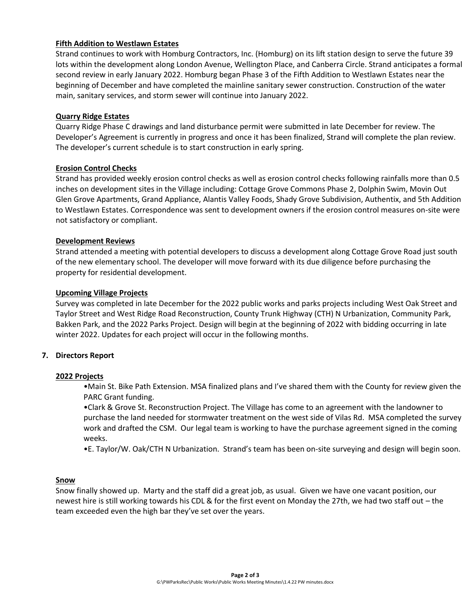# **Fifth Addition to Westlawn Estates**

Strand continues to work with Homburg Contractors, Inc. (Homburg) on its lift station design to serve the future 39 lots within the development along London Avenue, Wellington Place, and Canberra Circle. Strand anticipates a formal second review in early January 2022. Homburg began Phase 3 of the Fifth Addition to Westlawn Estates near the beginning of December and have completed the mainline sanitary sewer construction. Construction of the water main, sanitary services, and storm sewer will continue into January 2022.

### **Quarry Ridge Estates**

Quarry Ridge Phase C drawings and land disturbance permit were submitted in late December for review. The Developer's Agreement is currently in progress and once it has been finalized, Strand will complete the plan review. The developer's current schedule is to start construction in early spring.

#### **Erosion Control Checks**

Strand has provided weekly erosion control checks as well as erosion control checks following rainfalls more than 0.5 inches on development sites in the Village including: Cottage Grove Commons Phase 2, Dolphin Swim, Movin Out Glen Grove Apartments, Grand Appliance, Alantis Valley Foods, Shady Grove Subdivision, Authentix, and 5th Addition to Westlawn Estates. Correspondence was sent to development owners if the erosion control measures on-site were not satisfactory or compliant.

#### **Development Reviews**

Strand attended a meeting with potential developers to discuss a development along Cottage Grove Road just south of the new elementary school. The developer will move forward with its due diligence before purchasing the property for residential development.

#### **Upcoming Village Projects**

Survey was completed in late December for the 2022 public works and parks projects including West Oak Street and Taylor Street and West Ridge Road Reconstruction, County Trunk Highway (CTH) N Urbanization, Community Park, Bakken Park, and the 2022 Parks Project. Design will begin at the beginning of 2022 with bidding occurring in late winter 2022. Updates for each project will occur in the following months.

# **7. Directors Report**

# **2022 Projects**

•Main St. Bike Path Extension. MSA finalized plans and I've shared them with the County for review given the PARC Grant funding.

•Clark & Grove St. Reconstruction Project. The Village has come to an agreement with the landowner to purchase the land needed for stormwater treatment on the west side of Vilas Rd. MSA completed the survey work and drafted the CSM. Our legal team is working to have the purchase agreement signed in the coming weeks.

•E. Taylor/W. Oak/CTH N Urbanization. Strand's team has been on-site surveying and design will begin soon.

#### **Snow**

Snow finally showed up. Marty and the staff did a great job, as usual. Given we have one vacant position, our newest hire is still working towards his CDL & for the first event on Monday the 27th, we had two staff out – the team exceeded even the high bar they've set over the years.